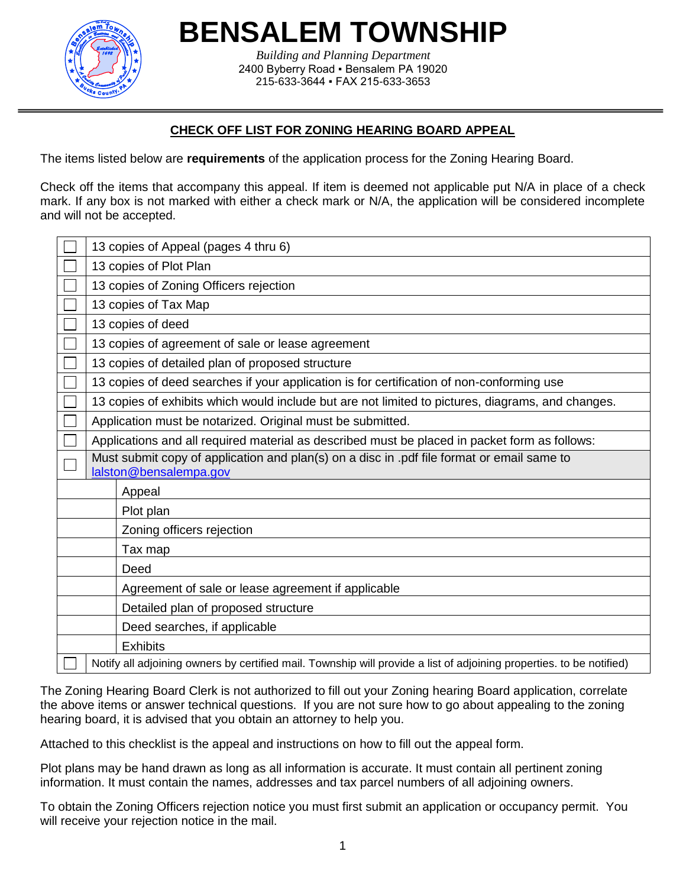

**BENSALEM TOWNSHIP**

*Building and Planning Department* 2400 Byberry Road ▪ Bensalem PA 19020 215-633-3644 ▪ FAX 215-633-3653

# **CHECK OFF LIST FOR ZONING HEARING BOARD APPEAL**

The items listed below are **requirements** of the application process for the Zoning Hearing Board.

Check off the items that accompany this appeal. If item is deemed not applicable put N/A in place of a check mark. If any box is not marked with either a check mark or N/A, the application will be considered incomplete and will not be accepted.

|                                                    | 13 copies of Appeal (pages 4 thru 6)                                                                                 |  |  |  |  |  |
|----------------------------------------------------|----------------------------------------------------------------------------------------------------------------------|--|--|--|--|--|
|                                                    | 13 copies of Plot Plan                                                                                               |  |  |  |  |  |
|                                                    | 13 copies of Zoning Officers rejection                                                                               |  |  |  |  |  |
|                                                    | 13 copies of Tax Map                                                                                                 |  |  |  |  |  |
|                                                    | 13 copies of deed                                                                                                    |  |  |  |  |  |
|                                                    | 13 copies of agreement of sale or lease agreement                                                                    |  |  |  |  |  |
|                                                    | 13 copies of detailed plan of proposed structure                                                                     |  |  |  |  |  |
|                                                    | 13 copies of deed searches if your application is for certification of non-conforming use                            |  |  |  |  |  |
|                                                    | 13 copies of exhibits which would include but are not limited to pictures, diagrams, and changes.                    |  |  |  |  |  |
|                                                    | Application must be notarized. Original must be submitted.                                                           |  |  |  |  |  |
|                                                    | Applications and all required material as described must be placed in packet form as follows:                        |  |  |  |  |  |
|                                                    | Must submit copy of application and plan(s) on a disc in .pdf file format or email same to<br>lalston@bensalempa.gov |  |  |  |  |  |
|                                                    | Appeal                                                                                                               |  |  |  |  |  |
|                                                    | Plot plan                                                                                                            |  |  |  |  |  |
|                                                    | Zoning officers rejection                                                                                            |  |  |  |  |  |
| Tax map                                            |                                                                                                                      |  |  |  |  |  |
| Deed                                               |                                                                                                                      |  |  |  |  |  |
| Agreement of sale or lease agreement if applicable |                                                                                                                      |  |  |  |  |  |
|                                                    | Detailed plan of proposed structure                                                                                  |  |  |  |  |  |
|                                                    | Deed searches, if applicable                                                                                         |  |  |  |  |  |
|                                                    | <b>Exhibits</b>                                                                                                      |  |  |  |  |  |
|                                                    | Notify all adjoining owners by certified mail. Township will provide a list of adjoining properties. to be notified) |  |  |  |  |  |

The Zoning Hearing Board Clerk is not authorized to fill out your Zoning hearing Board application, correlate the above items or answer technical questions. If you are not sure how to go about appealing to the zoning hearing board, it is advised that you obtain an attorney to help you.

Attached to this checklist is the appeal and instructions on how to fill out the appeal form.

Plot plans may be hand drawn as long as all information is accurate. It must contain all pertinent zoning information. It must contain the names, addresses and tax parcel numbers of all adjoining owners.

To obtain the Zoning Officers rejection notice you must first submit an application or occupancy permit. You will receive your rejection notice in the mail.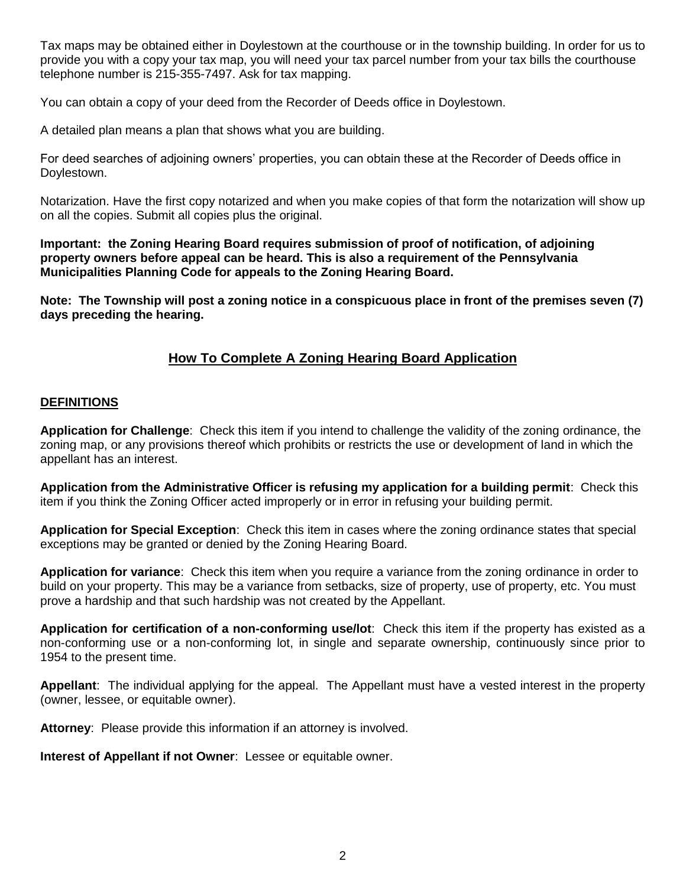Tax maps may be obtained either in Doylestown at the courthouse or in the township building. In order for us to provide you with a copy your tax map, you will need your tax parcel number from your tax bills the courthouse telephone number is 215-355-7497. Ask for tax mapping.

You can obtain a copy of your deed from the Recorder of Deeds office in Doylestown.

A detailed plan means a plan that shows what you are building.

For deed searches of adjoining owners' properties, you can obtain these at the Recorder of Deeds office in Doylestown.

Notarization. Have the first copy notarized and when you make copies of that form the notarization will show up on all the copies. Submit all copies plus the original.

**Important: the Zoning Hearing Board requires submission of proof of notification, of adjoining property owners before appeal can be heard. This is also a requirement of the Pennsylvania Municipalities Planning Code for appeals to the Zoning Hearing Board.**

**Note: The Township will post a zoning notice in a conspicuous place in front of the premises seven (7) days preceding the hearing.**

# **How To Complete A Zoning Hearing Board Application**

#### **DEFINITIONS**

**Application for Challenge**: Check this item if you intend to challenge the validity of the zoning ordinance, the zoning map, or any provisions thereof which prohibits or restricts the use or development of land in which the appellant has an interest.

**Application from the Administrative Officer is refusing my application for a building permit**: Check this item if you think the Zoning Officer acted improperly or in error in refusing your building permit.

**Application for Special Exception**: Check this item in cases where the zoning ordinance states that special exceptions may be granted or denied by the Zoning Hearing Board.

**Application for variance**: Check this item when you require a variance from the zoning ordinance in order to build on your property. This may be a variance from setbacks, size of property, use of property, etc. You must prove a hardship and that such hardship was not created by the Appellant.

**Application for certification of a non-conforming use/lot**: Check this item if the property has existed as a non-conforming use or a non-conforming lot, in single and separate ownership, continuously since prior to 1954 to the present time.

**Appellant**: The individual applying for the appeal. The Appellant must have a vested interest in the property (owner, lessee, or equitable owner).

**Attorney**: Please provide this information if an attorney is involved.

**Interest of Appellant if not Owner**: Lessee or equitable owner.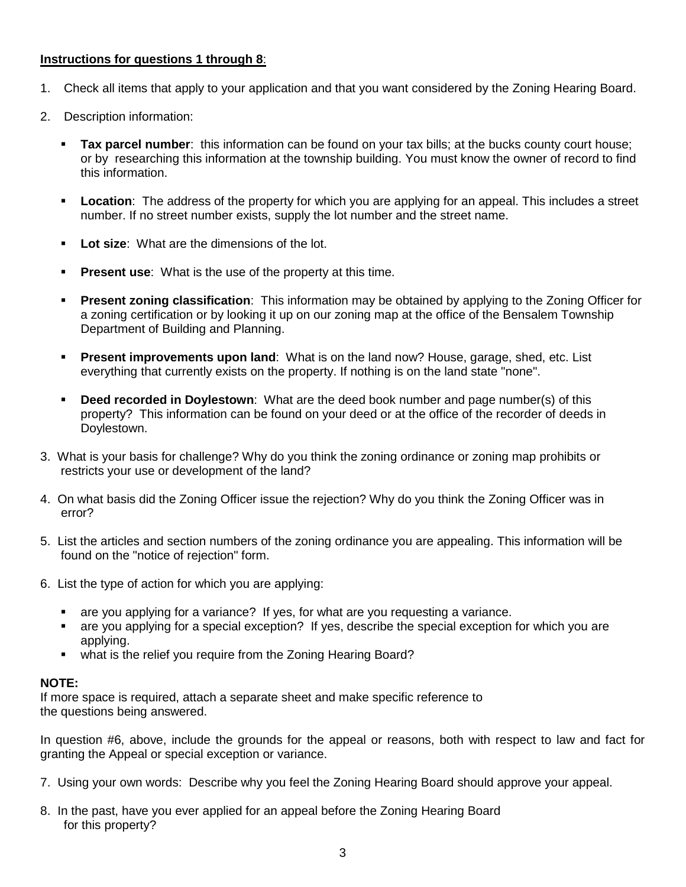#### **Instructions for questions 1 through 8**:

- 1. Check all items that apply to your application and that you want considered by the Zoning Hearing Board.
- 2. Description information:
	- **Tax parcel number**: this information can be found on your tax bills; at the bucks county court house; or by researching this information at the township building. You must know the owner of record to find this information.
	- **Location**: The address of the property for which you are applying for an appeal. This includes a street number. If no street number exists, supply the lot number and the street name.
	- **Lot size**: What are the dimensions of the lot.
	- **Present use:** What is the use of the property at this time.
	- **Present zoning classification**: This information may be obtained by applying to the Zoning Officer for a zoning certification or by looking it up on our zoning map at the office of the Bensalem Township Department of Building and Planning.
	- **Present improvements upon land**: What is on the land now? House, garage, shed, etc. List everything that currently exists on the property. If nothing is on the land state "none".
	- **Deed recorded in Doylestown**: What are the deed book number and page number(s) of this property? This information can be found on your deed or at the office of the recorder of deeds in Doylestown.
- 3. What is your basis for challenge? Why do you think the zoning ordinance or zoning map prohibits or restricts your use or development of the land?
- 4. On what basis did the Zoning Officer issue the rejection? Why do you think the Zoning Officer was in error?
- 5. List the articles and section numbers of the zoning ordinance you are appealing. This information will be found on the "notice of rejection" form.
- 6. List the type of action for which you are applying:
	- are you applying for a variance? If yes, for what are you requesting a variance.
	- are you applying for a special exception? If yes, describe the special exception for which you are applying.
	- what is the relief you require from the Zoning Hearing Board?

#### **NOTE:**

If more space is required, attach a separate sheet and make specific reference to the questions being answered.

In question #6, above, include the grounds for the appeal or reasons, both with respect to law and fact for granting the Appeal or special exception or variance.

- 7. Using your own words: Describe why you feel the Zoning Hearing Board should approve your appeal.
- 8. In the past, have you ever applied for an appeal before the Zoning Hearing Board for this property?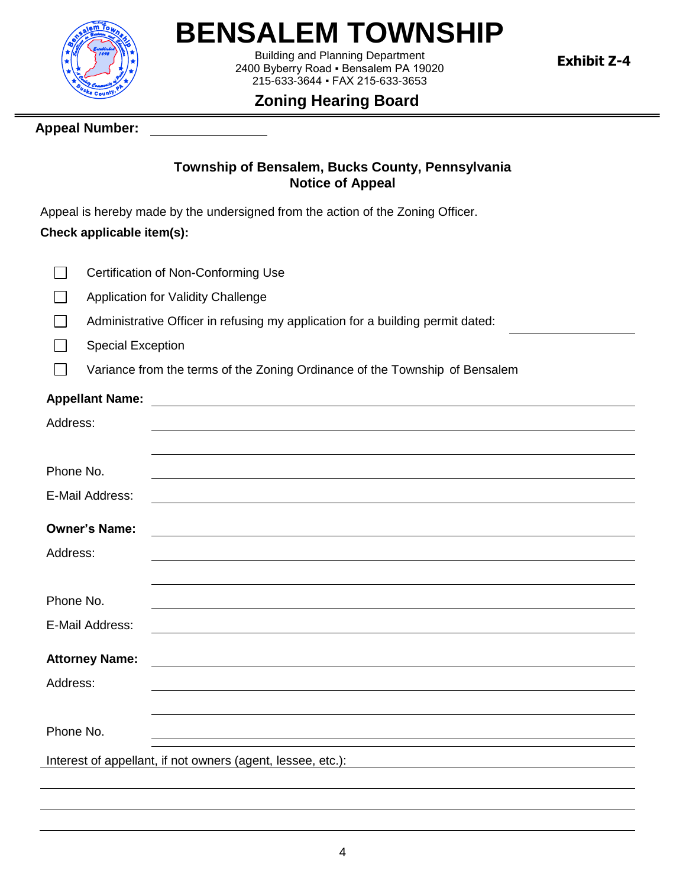

# **BENSALEM TOWNSHIP**

Building and Planning Department 2400 Byberry Road ▪ Bensalem PA 19020 215-633-3644 ▪ FAX 215-633-3653

**Exhibit Z-4**

# **Zoning Hearing Board**

## **Appeal Number:**

#### **Township of Bensalem, Bucks County, Pennsylvania Notice of Appeal**

Appeal is hereby made by the undersigned from the action of the Zoning Officer.

# **Check applicable item(s):**

| $\Box$<br><b>Certification of Non-Conforming Use</b> |  |
|------------------------------------------------------|--|
|------------------------------------------------------|--|

- Application for Validity Challenge П
- Administrative Officer in refusing my application for a building permit dated: П
- Special Exception I I

Variance from the terms of the Zoning Ordinance of the Township of Bensalem

# **Appellant Name:**

 $\Box$ 

| Address:              |                                                                                                                       |
|-----------------------|-----------------------------------------------------------------------------------------------------------------------|
|                       |                                                                                                                       |
| Phone No.             |                                                                                                                       |
| E-Mail Address:       |                                                                                                                       |
| <b>Owner's Name:</b>  |                                                                                                                       |
| Address:              |                                                                                                                       |
|                       |                                                                                                                       |
| Phone No.             |                                                                                                                       |
| E-Mail Address:       |                                                                                                                       |
| <b>Attorney Name:</b> | <u> 1980 - Johann Barn, mars ann an t-Amhain Aonaichte ann an t-Aonaichte ann an t-Aonaichte ann an t-Aonaichte a</u> |
| Address:              |                                                                                                                       |
|                       |                                                                                                                       |
| Phone No.             |                                                                                                                       |
|                       | Interest of appellant, if not owners (agent, lessee, etc.):<br><u> 1989 - Johann Stein, fransk politik (f. 1989)</u>  |
|                       |                                                                                                                       |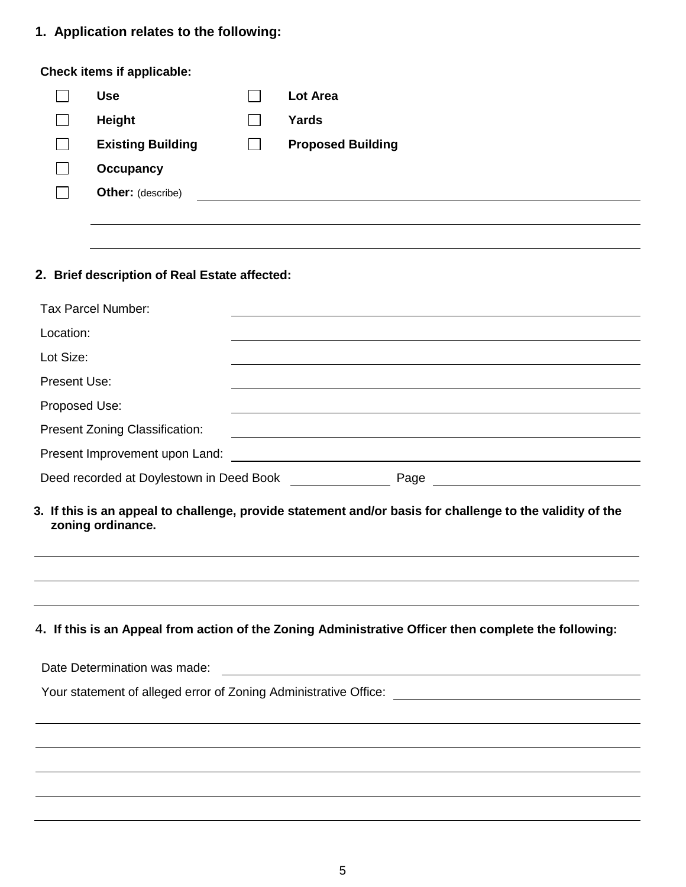# **1. Application relates to the following:**

#### **Check items if applicable:**

| <b>Use</b>               |              | Lot Area                 |
|--------------------------|--------------|--------------------------|
| Height                   |              | Yards                    |
| <b>Existing Building</b> | $\mathbf{r}$ | <b>Proposed Building</b> |
| <b>Occupancy</b>         |              |                          |
| <b>Other:</b> (describe) |              |                          |
|                          |              |                          |

# **2. Brief description of Real Estate affected:**

| Tax Parcel Number:                               |  |  |  |
|--------------------------------------------------|--|--|--|
| Location:                                        |  |  |  |
| Lot Size:                                        |  |  |  |
| Present Use:                                     |  |  |  |
| Proposed Use:                                    |  |  |  |
| <b>Present Zoning Classification:</b>            |  |  |  |
| Present Improvement upon Land:                   |  |  |  |
| Deed recorded at Doylestown in Deed Book<br>Page |  |  |  |
|                                                  |  |  |  |

#### **3. If this is an appeal to challenge, provide statement and/or basis for challenge to the validity of the zoning ordinance.**

#### 4**. If this is an Appeal from action of the Zoning Administrative Officer then complete the following:**

| Date Determination was made:                                     |  |  |  |
|------------------------------------------------------------------|--|--|--|
| Your statement of alleged error of Zoning Administrative Office: |  |  |  |
|                                                                  |  |  |  |
|                                                                  |  |  |  |